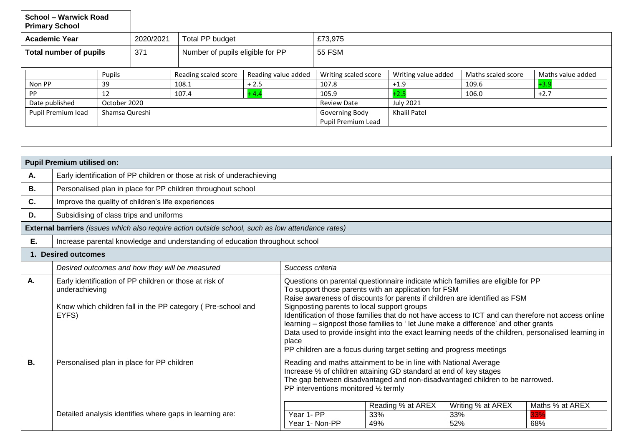| <b>School - Warwick Road</b><br><b>Primary School</b>                                             |                                                                                                                                                                                                                                                                                                    |                                                                    |                                  |                        |                     |                                      |                     |                    |                   |  |  |
|---------------------------------------------------------------------------------------------------|----------------------------------------------------------------------------------------------------------------------------------------------------------------------------------------------------------------------------------------------------------------------------------------------------|--------------------------------------------------------------------|----------------------------------|------------------------|---------------------|--------------------------------------|---------------------|--------------------|-------------------|--|--|
| <b>Academic Year</b>                                                                              |                                                                                                                                                                                                                                                                                                    |                                                                    | 2020/2021                        | <b>Total PP budget</b> |                     | £73,975                              |                     |                    |                   |  |  |
| <b>Total number of pupils</b>                                                                     |                                                                                                                                                                                                                                                                                                    | 371                                                                | Number of pupils eligible for PP |                        | 55 FSM              |                                      |                     |                    |                   |  |  |
|                                                                                                   |                                                                                                                                                                                                                                                                                                    | Pupils                                                             |                                  | Reading scaled score   | Reading value added | Writing scaled score                 | Writing value added | Maths scaled score | Maths value added |  |  |
| Non PP                                                                                            |                                                                                                                                                                                                                                                                                                    | 39                                                                 |                                  | 108.1                  | $+2.5$              | 107.8                                | $+1.9$              | 109.6              | $+3.9$            |  |  |
| <b>PP</b>                                                                                         |                                                                                                                                                                                                                                                                                                    | 12                                                                 |                                  | 107.4                  | $+4.4$              | 105.9                                | $+2.5$              | 106.0              | $+2.7$            |  |  |
|                                                                                                   | Date published                                                                                                                                                                                                                                                                                     | October 2020                                                       |                                  |                        |                     | <b>Review Date</b>                   | <b>July 2021</b>    |                    |                   |  |  |
| Pupil Premium lead                                                                                |                                                                                                                                                                                                                                                                                                    | Shamsa Qureshi                                                     |                                  |                        |                     | Governing Body<br>Pupil Premium Lead | <b>Khalil Patel</b> |                    |                   |  |  |
| Α.                                                                                                | <b>Pupil Premium utilised on:</b><br>Early identification of PP children or those at risk of underachieving                                                                                                                                                                                        |                                                                    |                                  |                        |                     |                                      |                     |                    |                   |  |  |
| В.                                                                                                | Personalised plan in place for PP children throughout school                                                                                                                                                                                                                                       |                                                                    |                                  |                        |                     |                                      |                     |                    |                   |  |  |
| C.                                                                                                | Improve the quality of children's life experiences                                                                                                                                                                                                                                                 |                                                                    |                                  |                        |                     |                                      |                     |                    |                   |  |  |
| D.                                                                                                | Subsidising of class trips and uniforms                                                                                                                                                                                                                                                            |                                                                    |                                  |                        |                     |                                      |                     |                    |                   |  |  |
| External barriers (issues which also require action outside school, such as low attendance rates) |                                                                                                                                                                                                                                                                                                    |                                                                    |                                  |                        |                     |                                      |                     |                    |                   |  |  |
| Ε.                                                                                                | Increase parental knowledge and understanding of education throughout school                                                                                                                                                                                                                       |                                                                    |                                  |                        |                     |                                      |                     |                    |                   |  |  |
| 1. Desired outcomes                                                                               |                                                                                                                                                                                                                                                                                                    |                                                                    |                                  |                        |                     |                                      |                     |                    |                   |  |  |
|                                                                                                   |                                                                                                                                                                                                                                                                                                    | Success criteria<br>Desired outcomes and how they will be measured |                                  |                        |                     |                                      |                     |                    |                   |  |  |
| А.                                                                                                | Early identification of PP children or those at risk of<br>Questions on parental questionnaire indicate which families are eligible for PP<br>To support those parents with an application for FSM<br>underachieving<br>Raise awareness of discounts for parents if children are identified as FSM |                                                                    |                                  |                        |                     |                                      |                     |                    |                   |  |  |

place

Signposting parents to local support groups

PP interventions monitored ½ termly

Identification of those families that do not have access to ICT and can therefore not access online

Data used to provide insight into the exact learning needs of the children, personalised learning in

Reading % at AREX Writing % at AREX Maths % at AREX

learning – signpost those families to ' let June make a difference' and other grants

The gap between disadvantaged and non-disadvantaged children to be narrowed.

Year 1- PP 33% 33% 33% 33% Year 1- Non-PP  $\begin{array}{|c|c|c|c|c|c|} \hline \end{array}$  49%  $\begin{array}{|c|c|c|c|c|} \hline \end{array}$  52%  $\begin{array}{|c|c|c|c|c|} \hline \end{array}$  68%

PP children are a focus during target setting and progress meetings

Reading and maths attainment to be in line with National Average Increase % of children attaining GD standard at end of key stages

Know which children fall in the PP category ( Pre-school and

Detailed analysis identifies where gaps in learning are:

EYFS)

**B.** Personalised plan in place for PP children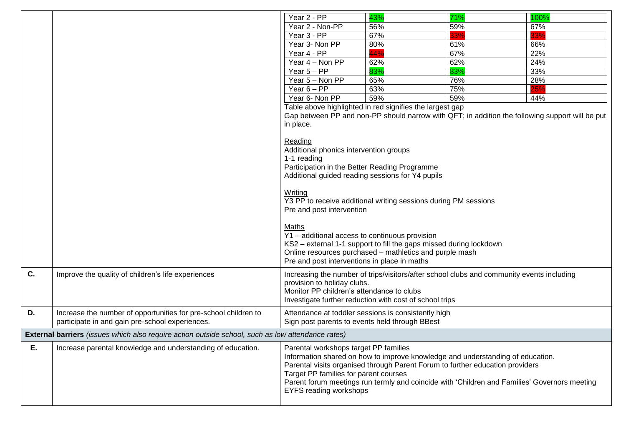|                                                                                                   |                                                                 | Year 2 - PP                                                                                                          | 43%                                                                                          | 71% | 100% |  |  |
|---------------------------------------------------------------------------------------------------|-----------------------------------------------------------------|----------------------------------------------------------------------------------------------------------------------|----------------------------------------------------------------------------------------------|-----|------|--|--|
|                                                                                                   |                                                                 | Year 2 - Non-PP                                                                                                      | 56%                                                                                          | 59% | 67%  |  |  |
|                                                                                                   |                                                                 | Year 3 - PP                                                                                                          | 67%                                                                                          | 33% | 33%  |  |  |
|                                                                                                   |                                                                 | Year 3- Non PP                                                                                                       | 80%                                                                                          | 61% | 66%  |  |  |
|                                                                                                   |                                                                 | Year 4 - PP                                                                                                          | 44%                                                                                          | 67% | 22%  |  |  |
|                                                                                                   |                                                                 | Year 4 - Non PP                                                                                                      | 62%                                                                                          | 62% | 24%  |  |  |
|                                                                                                   |                                                                 | Year $5 - PP$                                                                                                        | 83%                                                                                          | 83% | 33%  |  |  |
|                                                                                                   |                                                                 | Year 5 - Non PP                                                                                                      | 65%                                                                                          | 76% | 28%  |  |  |
|                                                                                                   |                                                                 | Year $6 - PP$                                                                                                        | 63%                                                                                          | 75% | 25%  |  |  |
|                                                                                                   |                                                                 | Year 6- Non PP                                                                                                       | 59%                                                                                          | 59% | 44%  |  |  |
|                                                                                                   |                                                                 |                                                                                                                      | Table above highlighted in red signifies the largest gap                                     |     |      |  |  |
|                                                                                                   |                                                                 | Gap between PP and non-PP should narrow with QFT; in addition the following support will be put                      |                                                                                              |     |      |  |  |
|                                                                                                   |                                                                 | in place.                                                                                                            |                                                                                              |     |      |  |  |
|                                                                                                   |                                                                 |                                                                                                                      |                                                                                              |     |      |  |  |
|                                                                                                   |                                                                 | Reading                                                                                                              |                                                                                              |     |      |  |  |
|                                                                                                   |                                                                 | Additional phonics intervention groups                                                                               |                                                                                              |     |      |  |  |
|                                                                                                   | 1-1 reading                                                     |                                                                                                                      |                                                                                              |     |      |  |  |
|                                                                                                   |                                                                 | Participation in the Better Reading Programme                                                                        |                                                                                              |     |      |  |  |
|                                                                                                   |                                                                 | Additional guided reading sessions for Y4 pupils                                                                     |                                                                                              |     |      |  |  |
|                                                                                                   |                                                                 |                                                                                                                      |                                                                                              |     |      |  |  |
|                                                                                                   |                                                                 | Writing                                                                                                              |                                                                                              |     |      |  |  |
|                                                                                                   |                                                                 | Y3 PP to receive additional writing sessions during PM sessions                                                      |                                                                                              |     |      |  |  |
|                                                                                                   |                                                                 | Pre and post intervention                                                                                            |                                                                                              |     |      |  |  |
|                                                                                                   |                                                                 | Maths                                                                                                                |                                                                                              |     |      |  |  |
|                                                                                                   |                                                                 |                                                                                                                      |                                                                                              |     |      |  |  |
|                                                                                                   |                                                                 | Y1 - additional access to continuous provision<br>KS2 - external 1-1 support to fill the gaps missed during lockdown |                                                                                              |     |      |  |  |
|                                                                                                   |                                                                 | Online resources purchased - mathletics and purple mash                                                              |                                                                                              |     |      |  |  |
|                                                                                                   |                                                                 | Pre and post interventions in place in maths                                                                         |                                                                                              |     |      |  |  |
|                                                                                                   |                                                                 |                                                                                                                      |                                                                                              |     |      |  |  |
| C.                                                                                                | Improve the quality of children's life experiences              | Increasing the number of trips/visitors/after school clubs and community events including                            |                                                                                              |     |      |  |  |
|                                                                                                   |                                                                 | provision to holiday clubs.                                                                                          |                                                                                              |     |      |  |  |
|                                                                                                   |                                                                 | Monitor PP children's attendance to clubs                                                                            |                                                                                              |     |      |  |  |
|                                                                                                   |                                                                 |                                                                                                                      | Investigate further reduction with cost of school trips                                      |     |      |  |  |
| D.                                                                                                | Increase the number of opportunities for pre-school children to |                                                                                                                      | Attendance at toddler sessions is consistently high                                          |     |      |  |  |
|                                                                                                   | participate in and gain pre-school experiences.                 |                                                                                                                      | Sign post parents to events held through BBest                                               |     |      |  |  |
| External barriers (issues which also require action outside school, such as low attendance rates) |                                                                 |                                                                                                                      |                                                                                              |     |      |  |  |
| Ε.                                                                                                | Increase parental knowledge and understanding of education.     | Parental workshops target PP families                                                                                |                                                                                              |     |      |  |  |
|                                                                                                   |                                                                 |                                                                                                                      | Information shared on how to improve knowledge and understanding of education.               |     |      |  |  |
|                                                                                                   |                                                                 | Parental visits organised through Parent Forum to further education providers                                        |                                                                                              |     |      |  |  |
|                                                                                                   |                                                                 | Target PP families for parent courses                                                                                |                                                                                              |     |      |  |  |
|                                                                                                   |                                                                 |                                                                                                                      | Parent forum meetings run termly and coincide with 'Children and Families' Governors meeting |     |      |  |  |
|                                                                                                   |                                                                 | EYFS reading workshops                                                                                               |                                                                                              |     |      |  |  |
|                                                                                                   |                                                                 |                                                                                                                      |                                                                                              |     |      |  |  |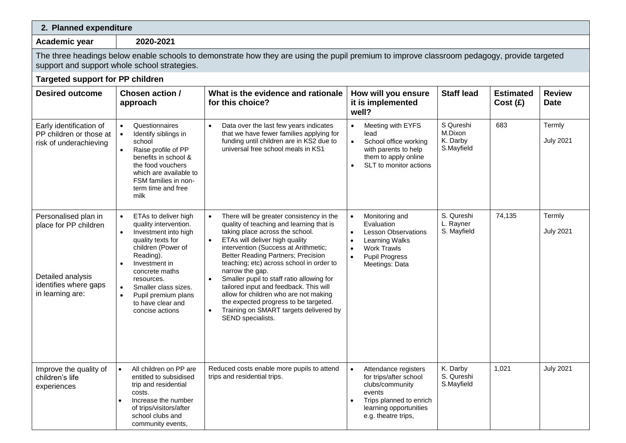| 2. Planned expenditure                                                                                                                                                                      |                                                                                                                                                                                                                                                                                                              |                                                                                                                                                                                                                                                                                                                                                                                                                                                                                                                                                |                                                                                                                                                                                                                |                                                |                             |                              |  |
|---------------------------------------------------------------------------------------------------------------------------------------------------------------------------------------------|--------------------------------------------------------------------------------------------------------------------------------------------------------------------------------------------------------------------------------------------------------------------------------------------------------------|------------------------------------------------------------------------------------------------------------------------------------------------------------------------------------------------------------------------------------------------------------------------------------------------------------------------------------------------------------------------------------------------------------------------------------------------------------------------------------------------------------------------------------------------|----------------------------------------------------------------------------------------------------------------------------------------------------------------------------------------------------------------|------------------------------------------------|-----------------------------|------------------------------|--|
| Academic year                                                                                                                                                                               | 2020-2021                                                                                                                                                                                                                                                                                                    |                                                                                                                                                                                                                                                                                                                                                                                                                                                                                                                                                |                                                                                                                                                                                                                |                                                |                             |                              |  |
| The three headings below enable schools to demonstrate how they are using the pupil premium to improve classroom pedagogy, provide targeted<br>support and support whole school strategies. |                                                                                                                                                                                                                                                                                                              |                                                                                                                                                                                                                                                                                                                                                                                                                                                                                                                                                |                                                                                                                                                                                                                |                                                |                             |                              |  |
| <b>Targeted support for PP children</b>                                                                                                                                                     |                                                                                                                                                                                                                                                                                                              |                                                                                                                                                                                                                                                                                                                                                                                                                                                                                                                                                |                                                                                                                                                                                                                |                                                |                             |                              |  |
| <b>Desired outcome</b>                                                                                                                                                                      | Chosen action /<br>approach                                                                                                                                                                                                                                                                                  | What is the evidence and rationale<br>for this choice?                                                                                                                                                                                                                                                                                                                                                                                                                                                                                         | How will you ensure<br>it is implemented<br>well?                                                                                                                                                              | <b>Staff lead</b>                              | <b>Estimated</b><br>Cost(E) | <b>Review</b><br><b>Date</b> |  |
| Early identification of<br>PP children or those at<br>risk of underachieving                                                                                                                | Questionnaires<br>Identify siblings in<br>school<br>Raise profile of PP<br>benefits in school &<br>the food vouchers<br>which are available to<br>FSM families in non-<br>term time and free<br>milk                                                                                                         | Data over the last few years indicates<br>$\bullet$<br>that we have fewer families applying for<br>funding until children are in KS2 due to<br>universal free school meals in KS1                                                                                                                                                                                                                                                                                                                                                              | Meeting with EYFS<br>$\bullet$<br>lead<br>$\bullet$<br>School office working<br>with parents to help<br>them to apply online<br>SLT to monitor actions                                                         | S Qureshi<br>M.Dixon<br>K. Darby<br>S.Mayfield | 683                         | Termly<br><b>July 2021</b>   |  |
| Personalised plan in<br>place for PP children<br>Detailed analysis<br>identifies where gaps<br>in learning are:                                                                             | ETAs to deliver high<br>$\bullet$<br>quality intervention.<br>Investment into high<br>quality texts for<br>children (Power of<br>Reading).<br>Investment in<br>concrete maths<br>resources.<br>Smaller class sizes.<br>$\bullet$<br>Pupil premium plans<br>$\bullet$<br>to have clear and<br>concise actions | There will be greater consistency in the<br>quality of teaching and learning that is<br>taking place across the school.<br>ETAs will deliver high quality<br>intervention (Success at Arithmetic;<br>Better Reading Partners; Precision<br>teaching; etc) across school in order to<br>narrow the gap.<br>Smaller pupil to staff ratio allowing for<br>tailored input and feedback. This will<br>allow for children who are not making<br>the expected progress to be targeted.<br>Training on SMART targets delivered by<br>SEND specialists. | Monitoring and<br>$\bullet$<br>Evaluation<br><b>Lesson Observations</b><br>$\bullet$<br>Learning Walks<br>$\bullet$<br><b>Work Trawls</b><br>$\bullet$<br>$\bullet$<br><b>Pupil Progress</b><br>Meetings: Data | S. Qureshi<br>L. Rayner<br>S. Mayfield         | 74,135                      | Termly<br><b>July 2021</b>   |  |
| Improve the quality of<br>children's life<br>experiences                                                                                                                                    | All children on PP are<br>entitled to subsidised<br>trip and residential<br>costs.<br>Increase the number<br>of trips/visitors/after<br>school clubs and<br>community events,                                                                                                                                | Reduced costs enable more pupils to attend<br>trips and residential trips.                                                                                                                                                                                                                                                                                                                                                                                                                                                                     | Attendance registers<br>$\bullet$<br>for trips/after school<br>clubs/community<br>events<br>Trips planned to enrich<br>$\bullet$<br>learning opportunities<br>e.g. theatre trips,                              | K. Darby<br>S. Qureshi<br>S.Mayfield           | 1,021                       | <b>July 2021</b>             |  |